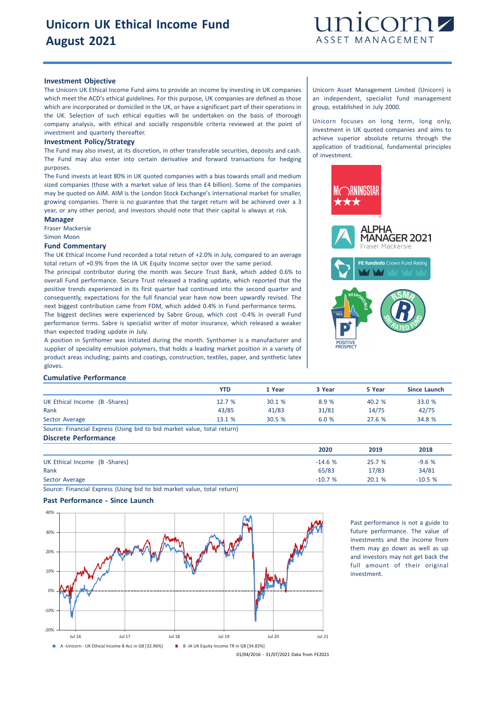

## **Investment Objective**

The Unicorn UK Ethical Income Fund aims to provide an income by investing in UK companies which meet the ACD's ethical guidelines. For this purpose, UK companies are defined as those which are incorporated or domiciled in the UK, or have a significant part of their operations in the UK. Selection of such ethical equities will be undertaken on the basis of thorough company analysis, with ethical and socially responsible criteria reviewed at the point of investment and quarterly thereafter.

#### **Investment Policy/Strategy**

The Fund may also invest, at its discretion, in other transferable securities, deposits and cash. The Fund may also enter into certain derivative and forward transactions for hedging purposes.

The Fund invests at least 80% in UK quoted companies with a bias towards small and medium sized companies (those with a market value of less than £4 billion). Some of the companies may be quoted on AIM. AIM is the London Stock Exchange's international market for smaller, growing companies. There is no guarantee that the target return will be achieved over a 3 year, or any other period, and investors should note that their capital is always at risk.

## **Manager**

Fraser Mackersie

Simon Moon

#### **Fund Commentary**

The UK Ethical Income Fund recorded a total return of +2.0% in July, compared to an average total return of +0.9% from the IA UK Equity Income sector over the same period.

The principal contributor during the month was Secure Trust Bank, which added 0.6% to overall Fund performance. Secure Trust released a trading update, which reported that the positive trends experienced in its first quarter had continued into the second quarter and consequently, expectations for the full financial year have now been upwardly revised. The next biggest contribution came from FDM, which added 0.4% in Fund performance terms. The biggest declines were experienced by Sabre Group, which cost -0.4% in overall Fund performance terms. Sabre is specialist writer of motor insurance, which released a weaker than expected trading update in July.

A position in Synthomer was initiated during the month. Synthomer is a manufacturer and supplier of speciality emulsion polymers, that holds a leading market position in a variety of product areas including; paints and coatings, construction, textiles, paper, and synthetic latex gloves.

Unicorn Asset Management Limited (Unicorn) is an independent, specialist fund management group, established in July 2000.

Unicorn focuses on long term, long only, investment in UK quoted companies and aims to achieve superior absolute returns through the application of traditional, fundamental principles of investment.



## **Cumulative Performance**

|                                                                         | <b>YTD</b> | 1 Year | 3 Year | 5 Year | <b>Since Launch</b> |
|-------------------------------------------------------------------------|------------|--------|--------|--------|---------------------|
| UK Ethical Income (B -Shares)                                           | 12.7%      | 30.1%  | 8.9%   | 40.2%  | 33.0 %              |
| Rank                                                                    | 43/85      | 41/83  | 31/81  | 14/75  | 42/75               |
| Sector Average                                                          | 13.1 %     | 30.5%  | 6.0%   | 27.6 % | 34.8 %              |
| Source: Financial Express (Using bid to bid market value, total return) |            |        |        |        |                     |

**Discrete Performance**

|                               | 2020     | 2019   | 2018     |
|-------------------------------|----------|--------|----------|
| UK Ethical Income (B -Shares) | $-14.6%$ | 25.7 % | $-9.6%$  |
| Rank                          | 65/83    | 17/83  | 34/81    |
| Sector Average                | $-10.7%$ | 20.1 % | $-10.5%$ |

Source: Financial Express (Using bid to bid market value, total return)

## **Past Performance - Since Launch**



Past performance is not a guide to future performance. The value of investments and the income from them may go down as well as up and investors may not get back the full amount of their original investment.

01/04/2016 - 31/07/2021 Data from FE2021